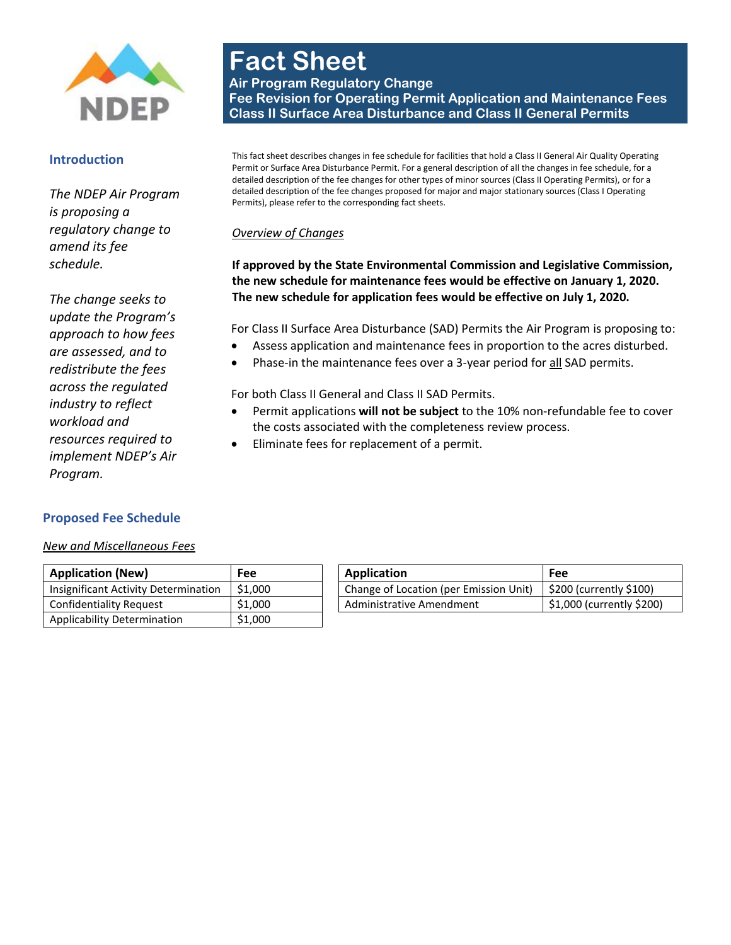

#### **Introduction**

*The NDEP Air Program is proposing a regulatory change to amend its fee schedule.* 

*The change seeks to update the Program's approach to how fees are assessed, and to redistribute the fees across the regulated industry to reflect workload and resources required to implement NDEP's Air Program.* 

# **Fact Sheet Air Program Regulatory Change Fee Revision for Operating Permit Application and Maintenance Fees Class II Surface Area Disturbance and Class II General Permits**

This fact sheet describes changes in fee schedule for facilities that hold a Class II General Air Quality Operating Permit or Surface Area Disturbance Permit. For a general description of all the changes in fee schedule, for a detailed description of the fee changes for other types of minor sources (Class II Operating Permits), or for a detailed description of the fee changes proposed for major and major stationary sources (Class I Operating Permits), please refer to the corresponding fact sheets.

## *Overview of Changes*

**If approved by the State Environmental Commission and Legislative Commission, the new schedule for maintenance fees would be effective on January 1, 2020. The new schedule for application fees would be effective on July 1, 2020.**

For Class II Surface Area Disturbance (SAD) Permits the Air Program is proposing to:

- Assess application and maintenance fees in proportion to the acres disturbed.
- Phase-in the maintenance fees over a 3-year period for all SAD permits.

For both Class II General and Class II SAD Permits.

- Permit applications **will not be subject** to the 10% non-refundable fee to cover the costs associated with the completeness review process.
- Eliminate fees for replacement of a permit.

#### **Proposed Fee Schedule**

*New and Miscellaneous Fees*

| <b>Application (New)</b>             | Fee     | Application                            | Fee                                   |
|--------------------------------------|---------|----------------------------------------|---------------------------------------|
| Insignificant Activity Determination | \$1,000 | Change of Location (per Emission Unit) | $\frac{1}{2}$ \$200 (currently \$100) |
| Confidentiality Request              | \$1,000 | Administrative Amendment               | \$1,000 (currently \$200)             |
| Applicability Determination          | \$1,000 |                                        |                                       |